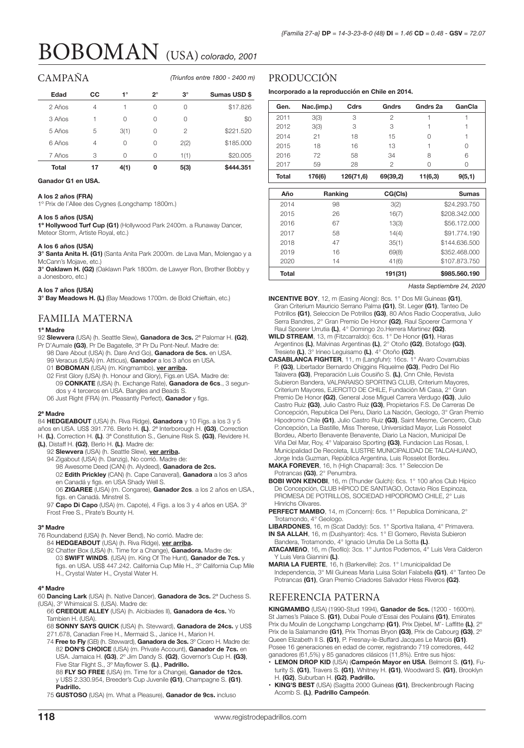# BOBOMAN (USA) *colorado, 2001*

## CAMPAÑA

*(Triunfos entre 1800 - 2400 m)*

| Edad   | CС | 1°   | っ | $3^\circ$ | Sumas USD \$ |
|--------|----|------|---|-----------|--------------|
| 2 Años | 4  |      | 0 | 0         | \$17,826     |
| 3 Años |    | 0    | O | 0         | \$0          |
| 5 Años | 5  | 3(1) | O | 2         | \$221.520    |
| 6 Años | 4  | 0    | 0 | 2(2)      | \$185,000    |
| 7 Años | 3  | Ω    | O | 1(1)      | \$20,005     |
| Total  | 17 | 4(1) | 0 | 5(3)      | \$444.351    |

**Ganador G1 en USA.**

#### **A los 2 años (FRA)**

1º Prix de l'Allee des Cygnes (Longchamp 1800m.)

#### **A los 5 años (USA)**

**1º Hollywood Turf Cup (G1)** (Hollywood Park 2400m. a Runaway Dancer, Meteor Storm, Artiste Royal, etc.)

#### **A los 6 años (USA)**

**3° Santa Anita H. (G1)** (Santa Anita Park 2000m. de Lava Man, Molengao y a McCann's Mojave, etc.)

**3° Oaklawn H. (G2)** (Oaklawn Park 1800m. de Lawyer Ron, Brother Bobby y a Jonesboro, etc.)

#### **A los 7 años (USA)**

**3° Bay Meadows H. (L)** (Bay Meadows 1700m. de Bold Chieftain, etc.)

### FAMILIA MATERNA

#### **1ª Madre**

- 92 **Slewvera** (USA) (h. Seattle Slew), **Ganadora de 3cs.** 2ª Palomar H. **(G2)**, Pr D'Aumale **(G3)**, Pr De Bagatelle, 3ª Pr Du Pont-Neuf. Madre de:
	- 98 Dare About (USA) (h. Dare And Go), **Ganadora de 5cs.** en USA.
	- 99 Veracus (USA) (m. Atticus), **Ganador** a los 3 años en USA.
	- 01 **BOBOMAN** (USA) (m. Kingmambo), **ver arriba.**
	- 02 First Glory (USA) (h. Honour and Glory), Figs.en USA. Madre de: 09 **CONKATE** (USA) (h. Exchange Rate), **Ganadora de 6cs**., 3 segundos y 4 terceros en USA. Bangles and Beads S.
	- 06 Just Right (FRA) (m. Pleasantly Perfect), **Ganador** y figs.

#### **2ª Madre**

- 84 **HEDGEABOUT** (USA) (h. Riva Ridge), **Ganadora** y 10 Figs. a los 3 y 5 años en USA. US\$ 391.776. Berlo H. **(L)**. 2ª Interborough H. **(G3)**, Correction
- H. **(L)**, Correction H. **(L)**. 3ª Constitution S., Genuine Risk S. **(G3)**, Revidere H.
- **(L)**, Distaff H. **(G2)**, Berlo H. **(L)**. Madre de:
	- 92 **Slewvera** (USA) (h. Seattle Slew), **ver arriba.**
	- 94 Zigabout (USA) (h. Danzig), No corrió. Madre de:
	- 98 Awesome Deed (CAN) (h. Alydeed), **Ganadora de 2cs.**
	- 02 **Edith Prickley** (CAN) (h. Cape Canaveral), **Ganadora** a los 3 años en Canadá y figs. en USA Shady Well S.
	- 06 **ZIGAREE** (USA) (m. Congaree), **Ganador 2cs**. a los 2 años en USA., figs. en Canadá. Minstrel S.

97 **Capo Di Capo** (USA) (m. Capote), 4 Figs. a los 3 y 4 años en USA. 3º Frost Free S., Pirate's Bounty H.

#### **3ª Madre**

- 76 Roundabend (USA) (h. Never Bend), No corrió. Madre de:
	- 84 **HEDGEABOUT** (USA) (h. Riva Ridge), **ver arriba.**
	- 92 Chatter Box (USA) (h. Time for a Change), **Ganadora.** Madre de: 03 **SWIFT WINDS**. (USA) (m. King Of The Hunt), **Ganador de 7cs.** y figs. en USA. US\$ 447.242. California Cup Mile H., 3º California Cup Mile H., Crystal Water H., Crystal Water H.

#### **4ª Madre**

- 60 **Dancing Lark** (USA) (h. Native Dancer), **Ganadora de 3cs.** 2ª Duchess S. (USA), 3º Whimsical S. (USA). Madre de:
	- 66 **CREEQUE ALLEY** (USA) (h. Alcibiades II), **Ganadora de 4cs.** Yo Tambien H. (USA).
	- 68 **SONNY SAYS QUICK** (USA) (h. Stevward), **Ganadora de 24cs.** y US\$ 271.678, Canadian Free H., Mermaid S., Janice H., Marion H.
	- 74 **Free to Fly** (GB) (h. Stevward), **Ganadora de 3cs.** 3º Cicero H. Madre de:
	- 82 **DON'S CHOICE** (USA) (m. Private Account), **Ganador de 7cs.** en USA. Jamaica H. **(G3)**, 2º Jim Dandy S. **(G2)**, Governor's Cup H. **(G3)**, Five Star Flight S., 3º Mayflower S. **(L)**., **Padrillo.**
	- 88 **FLY SO FREE** (USA) (m. Time for a Change), **Ganador de 12cs.** y U\$S 2.330.954, Breeder's Cup Juvenile **(G1)**, Champagne S. **(G1)**. **Padrillo.**
	- 75 **GUSTOSO** (USA) (m. What a Pleasure), **Ganador de 9cs.** incluso

## PRODUCCIÓN

**Incorporado a la reproducción en Chile en 2014.**

| Gen.         | Nac.(imp.) | Cdrs      | Gndrs    | Gndrs 2a | GanCla   |
|--------------|------------|-----------|----------|----------|----------|
| 2011         | 3(3)       | 3         | 2        |          |          |
| 2012         | 3(3)       | 3         | 3        |          |          |
| 2014         | 21         | 18        | 15       | O        |          |
| 2015         | 18         | 16        | 13       |          | $\Omega$ |
| 2016         | 72         | 58        | 34       | 8        | 6        |
| 2017         | 59         | 28        | 2        |          | 0        |
| <b>Total</b> | 176(6)     | 126(71,6) | 69(39,2) | 11(6,3)  | 9(5,1)   |

| Año          | Ranking | CG(Cls) | <b>Sumas</b>  |
|--------------|---------|---------|---------------|
| 2014         | 98      | 3(2)    | \$24,293,750  |
| 2015         | 26      | 16(7)   | \$208,342,000 |
| 2016         | 67      | 13(3)   | \$56,172,000  |
| 2017         | 58      | 14(4)   | \$91.774.190  |
| 2018         | 47      | 35(1)   | \$144,636,500 |
| 2019         | 16      | 69(8)   | \$352,468,000 |
| 2020         | 14      | 41(6)   | \$107,873,750 |
| <b>Total</b> |         | 191(31) | \$985,560,190 |

*Hasta Septiembre 24, 2020*

- **INCENTIVE BOY**, 12, m (Easing Along): 8cs. 1° Dos Mil Guineas **(G1)**, Gran Criterium Mauricio Serrano Palma **(G1)**, St. Leger **(G1)**, Tanteo De Potrillos **(G1)**, Seleccion De Potrillos **(G3)**, 80 Años Radio Cooperativa, Julio Serra Bandres, 2° Gran Premio De Honor **(G2)**, Raul Spoerer Carmona Y Raul Spoerer Urrutia **(L)**, 4° Domingo 2o.Herrera Martinez **(G2)**.
- **WILD STREAM**, 13, m (Fitzcarraldo): 6cs. 1° De Honor **(G1)**, Haras Argentinos **(L)**, Malvinas Argentinas **(L)**, 2° Otoño **(G2)**, Botafogo **(G3)**, Tresiete **(L)**, 3° Irineo Leguisamo **(L)**, 4° Otoño **(G2)**.
- **CASABLANCA FIGHTER**, 11, m (Langfuhr): 16cs. 1° Alvaro Covarrubias P. **(G3)**, Libertador Bernardo Ohiggins Riquelme **(G3)**, Pedro Del Rio Talavera **(G3)**, Preparación Luis Cousiño S. **(L)**, Cnn Chile, Revista Subieron Bandera, VALPARAISO SPORTING CLUB, Criterium Mayores, Criterium Mayores, EJERCITO DE CHILE, Fundación Mi Casa, 2° Gran Premio De Honor **(G2)**, General Jose Miguel Carrera Verdugo **(G3)**, Julio Castro Ruiz **(G3)**, Julio Castro Ruiz **(G3)**, Propietarios F.S. De Carreras De Concepción, Republica Del Peru, Diario La Nación, Geologo, 3° Gran Premio Hipodromo Chile **(G1)**, Julio Castro Ruiz **(G3)**, Saint Mesme, Cencerro, Club Concepción, La Bastille, Miss Therese, Universidad Mayor, Luis Rosselot Bordeu, Alberto Benavente Benavente, Diario La Nacion, Municipal De Viña Del Mar, Roy, 4° Valparaiso Sporting (G3), Fundacion Las Rosas, Municipalidad De Recoleta, ILUSTRE MUNICIPALIDAD DE TALCAHUANO,
- Jorge Inda Guzman, República Argentina, Luis Rosselot Bordeu. **MAKA FOREVER**, 16, h (High Chaparral): 3cs. 1° Seleccion De Potrancas **(G3)**, 2° Penumbra.
- **BOBI WON KENOBI**, 16, m (Thunder Gulch): 6cs. 1° 100 años Club Hípico De Concepción, CLUB HÍPICO DE SANTIAGO, Octavio Ríos Espinoza, PROMESA DE POTRILLOS, SOCIEDAD HIPODROMO CHILE, 2° Luis Hinrichs Olivares.
- **PERFECT MAMBO**, 14, m (Concern): 6cs. 1° Republica Dominicana, 2° Trotamondo, 4° Geologo.
- **LIBARDONES**, 16, m (Scat Daddy): 5cs. 1° Sportiva Italiana, 4° Primavera. **IN SA ALLAH**, 16, m (Dushyantor): 4cs. 1° El Gomero, Revista Subieron
- Bandera, Trotamondo, 4° Ignacio Urrutia De La Sotta **(L)**. **ATACAMEñO**, 16, m (Teofilo): 3cs. 1° Juntos Podemos, 4° Luis Vera Calderon
- Y Luis Vera Giannini **(L)**. **MARIA LA FUERTE**, 16, h (Barkerville): 2cs. 1° I.municipalidad De
- Independencia, 3° Mil Guineas Maria Luisa Solari Falabella **(G1)**, 4° Tanteo De Potrancas **(G1)**, Gran Premio Criadores Salvador Hess Riveros **(G2)**.

## REFERENCIA PATERNA

**KINGMAMBO** (USA) (1990-Stud 1994), **Ganador de 5cs.** (1200 - 1600m). St James's Palace S. **(G1)**, Dubai Poule d'Essai des Poulains **(G1)**, Emirates Prix du Moulin de Longchamp Longchamp **(G1)**, Prix Djebel, M'- Laffitte **(L)**, 2º Prix de la Salamandre **(G1)**, Prix Thomas Bryon **(G3)**, Prix de Cabourg **(G3)**, 2º Queen Elizabeth II S. **(G1)**, P. Fresnay-le-Buffard Jacques Le Marois **(G1)**. Posee 16 generaciones en edad de correr, registrando 719 corredores, 442 ganadores (61,5%) y 85 ganadores clásicos (11,8%). Entre sus hijos:

- **• LEMON DROP KID** (USA) (**Campeón Mayor en USA**. Belmont S. **(G1)**, Futurity S. **(G1)**, Travers S. **(G1)**, Whitney H. **(G1)**, Woodward S. **(G1)**, Brooklyn H. **(G2)**, Suburban H. **(G2)**, **Padrillo.**
- **• KING'S BEST** (USA) (Sagitta 2000 Guineas **(G1)**, Breckenbrough Racing Acomb S. **(L)**, **Padrillo Campeón**.